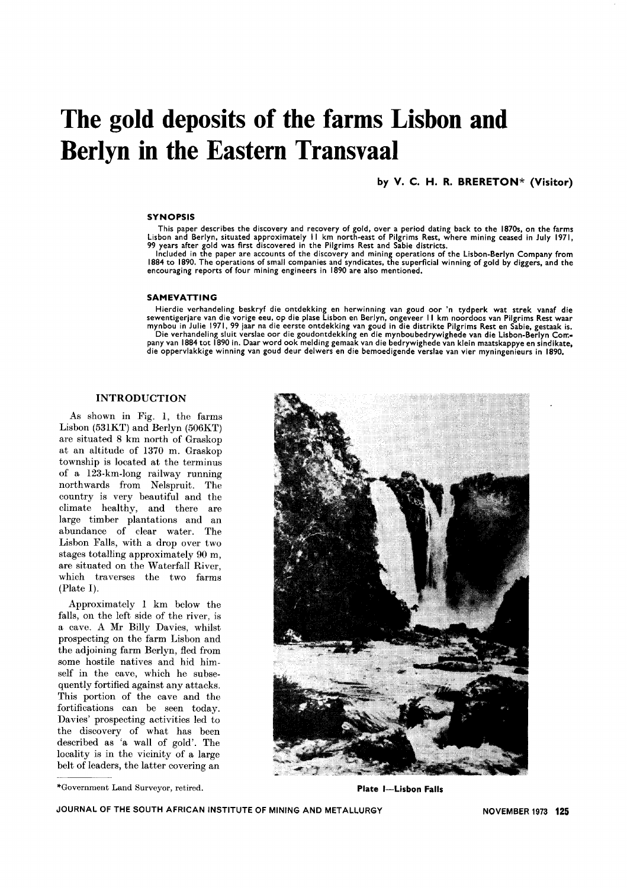# **The gold deposits of the farms Lisbon and Berlyn in the Eastern Transvaal**

## by V. C. H. R. BRERETON\* (Visitor)

#### **SYNOPSIS**

This paper describes the discovery and recovery of gold, over a period dating back to the 1870s, on the farms<br>Lisbon and Berlyn, situated approximately 11 km north-east of Pilgrims Rest, where mining ceased in July 1971,<br>9

Included in the paper are accounts of the discovery and mining operations of the Lisbon-Berlyn Company from 1884 to 1890. The operations of small companies and syndicates. the superficial winning of gold by diggers, and the encouraging reports of four mining engineers in 1890 are also mentioned.

#### SAMEVATTING

Hierdie verhandeling beskryf die ontdekking en herwinning van goud oor 'n tydperk wat strek vanaf die<br>sewentigerjare van die vorige eeu, op die plase Lisbon en Berlyn, ongeveer 11 km noordoos van Pilgrims Rest waar<br>mynbou Die verhandeling sluit verslae oor die goudontdekking en die mynboubedrywighede van die Lisbon-Berlyn Con;- pany van 1884 tot 1890 in. Daar word ook melding gemaak van die bedrywighede van klein maatskappye en sindikate, die oppervlakkige winning van goud deur delwers en die bemoedigende verslae van vier myningenieurs in 1890.

## INTRODUCTION

As shown in Fig. 1, the farms Lisbon (531KT) and Berlyn (506KT) are situated 8 km north of Graskop at an altitude of 1370 m. Graskop township is located at the terminus of a 123-km-Iong railway running northwards from Nelspruit. The country is very beautiful and the climate healthy, and there are large timber plantations and an abundance of clear water. The Lisbon Falls, with a drop over two stages totalling approximately 90 m, are situated on the Waterfall River, which traverses the two farms (Plate I).

Approximately 1 km below the falls, on the left side of the river, is a cave. A Mr Billy Davies, whilst prospecting on the farm Lisbon and the adjoining farm Berlyn, fled from some hostile natives and hid himself in the cave, which he subsequently fortified against any attacks. This portion of the cave and the fortifications can be seen today. Davies' prospecting activities led to the discovery of what has been described as 'a wall of gold'. The locality is in the vicinity of a large belt of leaders, the latter covering an

<sup>\*</sup>Government Land Surveyor, retired. Plate I-Lisbon Falls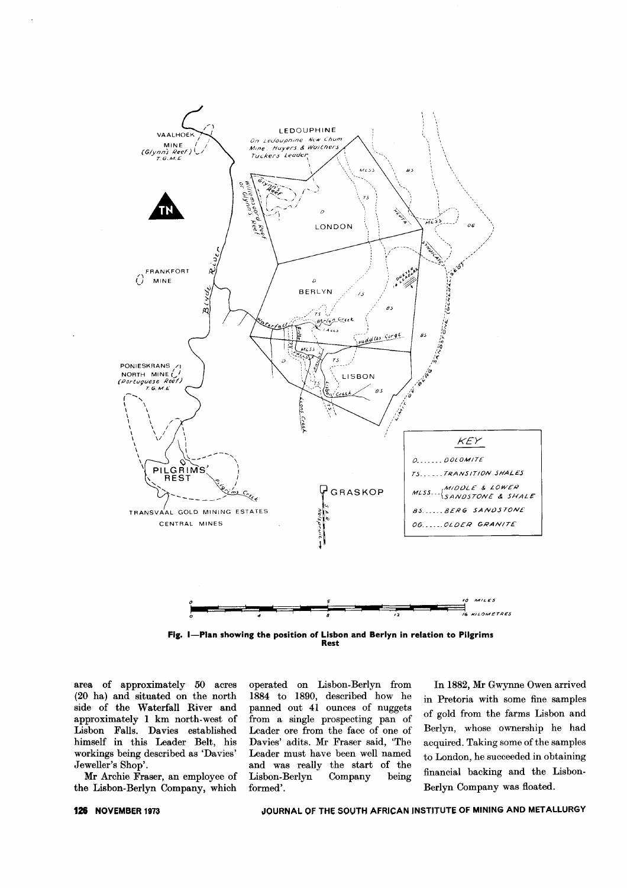

Fig. I-Plan showing the position of Lisbon and Berlyn in relation to Pilgrims Rest

area of approximately 50 acres (20 ha) and situated on the north side of the Waterfall River and approximately 1 km north-west of Lisbon Falls. Davies established himself in this Leader Belt, his workings being described as 'Davies' Jeweller's Shop'.

Mr Archie Fraser, an employee of the Lisbon-Berlyn Company, which

operated on Lisbon-Berlyn from 1884 to 1890, described how he panned out 41 ounces of nuggets from a single prospecting pan of Leader ore from the face of one of Davies' adits. Mr Fraser said, 'The Leader must have been well named and was really the start of the Lisbon-Berlyn Company being formed'.

In 1882, Mr Gwynne Owen arrived in Pretoria with some fine samples of gold from the farms Lisbon and Berlyn, whose ownership he had acquired. Taking some of the samples to London, he succeeded in obtaining financial backing and the Lisbon-Berlyn Company was floated.

## JOURNAL OF THE SOUTH AFRICAN INSTITUTE OF MINING AND METALLURGY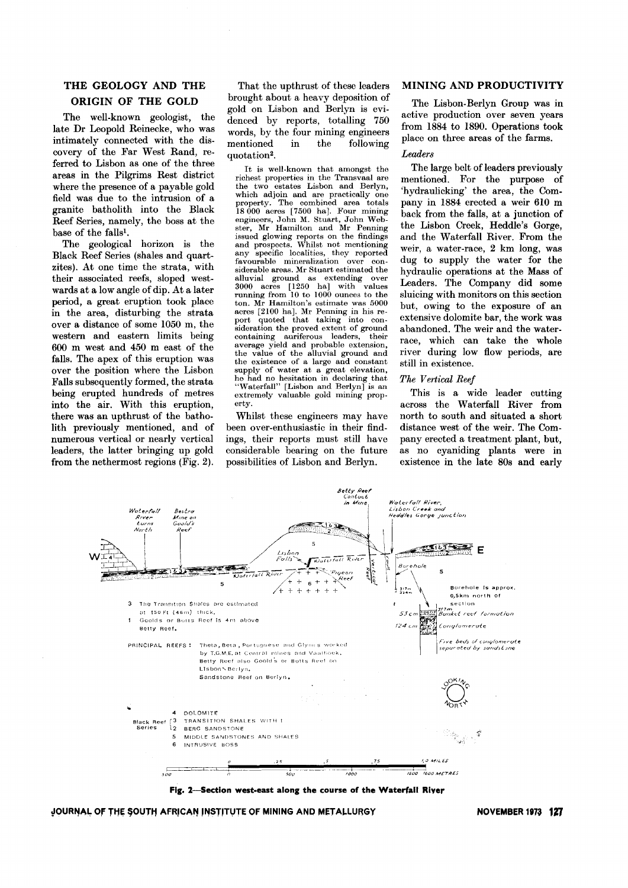# **THE GEOLOGY AND THE ORIGIN OF THE GOLD**

The well-known geologist, the late Dr Leopold Reinecke, who was intimately connected with the discovery of the Far West Rand, referred to Lisbon as one of the three areas in the Pilgrims Rest district where the presence of a payable gold field was due to the intrusion of a granite batholith into the Black Reef Series, namely, the boss at the base of the falls1.

The geological horizon is the Black Reef Series (shales and quartzites). At one time the strata, with their associated reefs, sloped westwards at a low angle of dip. At a later period, a great eruption took place in the area, disturbing the strata over a distance of some 1050 m, the western and eastern limits being 600 m west and 450 m east of the falls. The apex of this eruption was over the position where the Lisbon Falls subsequently formed, the strata being erupted hundreds of metres into the air. With this eruption, there was an upthrust of the batholith previously mentioned, and of numerous vertical or nearly vertical leaders, the latter bringing up gold from the nethermost regions (Fig. 2).

That the upthrust of these leaders brought about a heavy deposition of gold on Lisbon and Berlyn is evidenced by reports, totalling 750 words, by the four mining engineers mentioned in the following quotation2.

It is well-known that amongst the richest properties in the Transvaal are the two estates Lisbon and Berlyn, which adjoin and are practically one property. The combined area totals 18 000 acres [7500 ha]. Four minir engineers, John M. Stuart, John Webster, Mr Hamilton and Mr Penning issued glowing reports on the findin<sub>i</sub><br>and prospects. Whilst not mentionir any specific localities, they report favourable mineralization over considerable areas. Mr Stuart estimated the alluvial ground as extending over 3000 acres [1250 ha] with value<br>running from 10 to 1000 ounces to th ton. Mr Hamilton's estimate was 5000 acres [2100 ha]. Mr Penning in his re-<br>port quoted that taking into conport quoted that  $\tau$  taking sideration the proved extent of ground<br>containing auriferous leaders, their containing auriferous leaders, average yield and probable extension, the value of the alluvial ground and the existence of a large and constant supply of water at a great elevation, he had no hesitation in declaring that "Waterfall" [Lisbon and Berlyn] is an extremely valuable gold mining property.

Whilst these engineers may have been over-enthusiastic in their findings, their reports must still have considerable bearing on the future possibilities of Lisbon and Berlyn.

#### **MINING AND PRODUCTIVITY**

The Lisbon-Berlyn Group was in active production over seven years from 1884 to 1890. Operations took place on three areas of the farms.

#### *Leaders*

The large belt of leaders previously mentioned. For the purpose of 'hydraulicking' the area, the Company in 1884 erected a weir 610 m back from the falls, at a junction of the Lisbon Creek, Heddle's Gorge, and the Waterfall River. From the weir, a water-race, 2 km long, was dug to supply the water for the hydraulic operations at the Mass of Leaders. The Company did some sluicing with monitors on this section but, owing to the exposure of an extensive dolomite bar, the work was abandoned. The weir and the waterrace, which can take the whole river during low flow periods, are still in existence.

## *The Vertical Reef*

This is a wide leader cutting across the Waterfall River from north to south and situated a short distance west of the weir. The Company erected a treatment plant, but, as no cyaniding plants were in existence in the late 80s and early



**Fig. 2-Sectlon west.east along the course of the Waterfall River**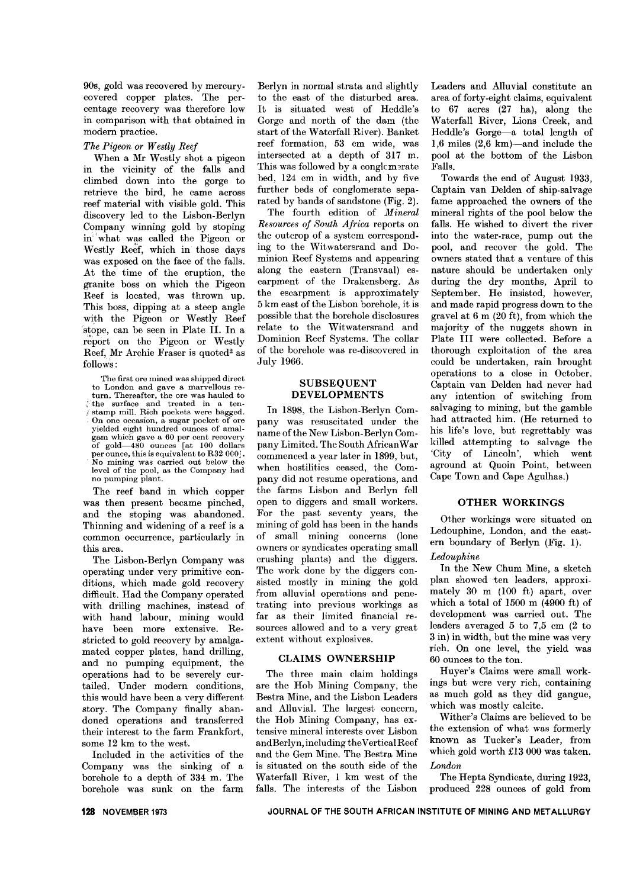90s, gold was recovered by mercurycovered copper plates. The percentage recovery was therefore low in comparison with that obtained in modern practice.

## *The Pigeon or Westly Reef*

When a Mr Westly shot a pigeon in the vicinity of the falls and climbed down into the gorge to retrieve the bird, he came across reef material with visible gold. This discovery led to the Lisbon-Berlyn Company winning gold by stoping in what was called the Pigeon or Westly Reef, which in those days was exposed on the face of the falls. At the time of the eruption, the granite boss on which the Pigeon Reef is located, was thrown up. This boss, dipping at a steep angle with the Pigeon or Westly Reef stope, can be seen in Plate 11. In a report on the Pigeon or Westly Reef, Mr Archie Fraser is quoted<sup>2</sup> as follows:

The first ore mined was shipped direct to London and gave a marvellous return. Thereafter, the ore was hauled to , the surface and treated in a ten*i* stamp mill. Rich pockets were bagge On one occasion, a sugar pocket of ore yielded eight hundred ounces of amalgam which gave a 60 per cent recovery of gold-480 ounces [at 100 dollars per ounce, this is equivalent to R32 <sup>000</sup> *I.* No mining was carried out below the level of the pool, as the Company had no pumping plant.

The reef band in which copper was then present became pinched, and the stoping was abandoned. Thinning and widening of a reef is a common occurrence, particularly in this area.

The Lisbon-Berlyn Company was operating under very primitive conditions, which made gold recovery difficult. Had the Company operated with drilling machines, instead of with hand labour, mining would have been more extensive. Restricted to gold recovery by amalgamated copper plates, hand drilling, and no pumping equipment, the operations had to be severely curtailed. Under modern conditions, this would have been a very different story. The Company finally abandoned operations and transferred their interest to the farm Frankfort, some 12 km to the west.

Included in the activities of the Company was the sinking of a borehole to a depth of 334 m. The borehole was sunk on the farm Berlyn in normal strata and slightly to the east of the disturbed area. It is situated west of Heddle's Gorge and north of the dam (the start of the Waterfall River). Banket reef formation, 53 cm wide, was intersected at a depth of 317 m. This was followed by a conglomerate bed, 124 cm in width, and by five further beds of conglomerate separated by bands of sandstone (Fig. 2).

The fourth edition of *Mineral Resources of South Africa* reports on the outcrop of a system corresponding to the Witwatersrand and Dominion Reef Systems and appearing along the eastern (Transvaal) escarpment of the Drakensberg. As the escarpment is approximately 5 km east of the Lisbon borehole, it is possible that the borehole disclosures relate to the Witwatersrand and Dominion Reef Systems. The collar *cif* the borehole was re-discovered in July 1966.

## SUBSEQUENT DEVELOPMENTS

In 1898, the Lisbon-Berlyn Company was resuscitated under the name of the New Lisbon-Berlyn Company Limited. The South African War commenced a year later in 1899, but, when hostilities ceased, the Company did not resume operations, and the farms Lisbon and Berlyn fell open to diggers and small workers. For the past seventy years, the mining of gold has been in the hands of small mining concerns (lone owners or syndicates operating small crushing plants) and the diggers. The work done by the diggers consisted mostly in mining the gold from alluvial operations and penetrating into previous workings as far as their limited financial resources allowed and to a very great extent without explosives.

## CLAIMS OWNERSHIP

The three main claim holdings are the Hob Mining Company, the Bestra Mine, and the Lisbon Leaders and Alluvial. The largest concern, the Hob Mining Company, has extensive mineral interests over Lisbon andBerlyn, including the Vertical Reef and the Gem Mine. The Bestra Mine is situated on the south side of the Waterfall River, 1 km west of the falls. The interests of the Lisbon

Leaders and Alluvial constitute an area of forty -eight claims, equivalent to 67 acres (27 ha), along the Waterfall River, Lions Creek, and Heddle's Gorge-a total length of 1,6 miles  $(2,6 \text{ km})$ —and include the pool at the bottom of the Lisbon Falls.

Towards the end of August 1933, Captain van Delden of ship-salvage fame approached the owners of the mineral rights of the pool below the falls. He wished to divert the river into the water-race, pump out the pool, and recover the gold. The owners stated that a venture of this nature should be undertaken only during the dry months, April to September. He insisted, however, and made rapid progress down to the gravel at 6 m (20 ft), from which the majority of the nuggets shown in Plate III were collected. Before a thorough exploitation of the area could be undertaken, rain brought operations to a close in October. Captain van Delden had never had any intention of switching from salvaging to mining, but the gamble had attracted him. (He returned to his life's love, but regrettably was killed attempting to salvage the 'City of Lincoln', which went aground at Quoin Point, between Cape Town and Cape Agulhas.)

## OTHER WORKINGS

Other workings were situated on Ledouphine, London, and the eastern boundary of Berlyn (Fig. 1).

## *Ledouphine*

In the New Chum Mine, a sketch plan showed ten leaders, approximately 30 m (100 ft) apart, over which a total of 1500 m (4900 ft) of development was carried out. The leaders averaged 5 to 7,5 cm (2 to 3 in) in width, but the mine was very rich. On one level, the yield was 60 ounces to the ton.

Huyer's Claims were small workings but were very rich, containing as much gold as they did gangue, which was mostly calcite.

Wither's Claims are believed to be the extension of what was formerly known as Tucker's Leader, from which gold worth £13 000 was taken. *London*

The Hepta Syndicate, during 1923, produced 228 ounces of gold from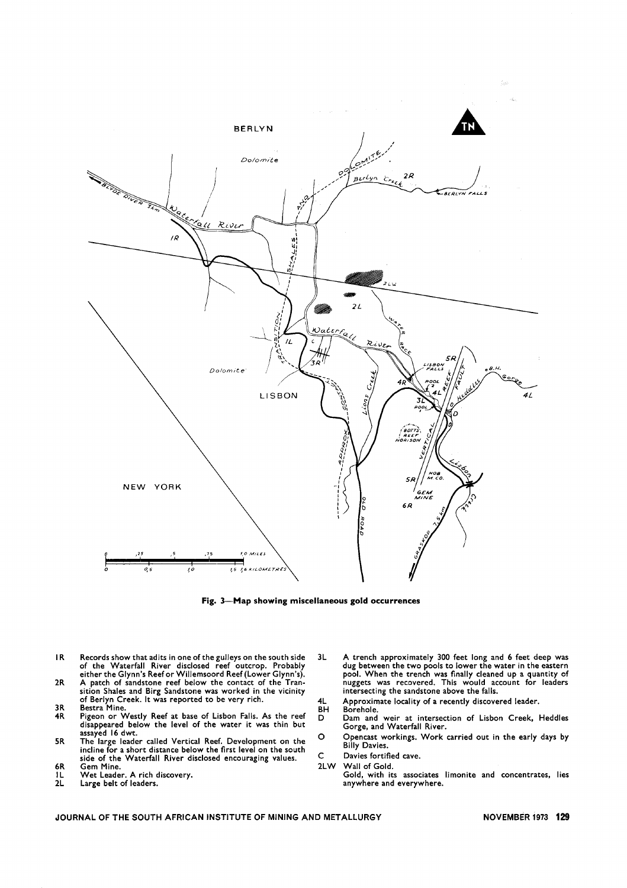

Fig. 3-Map showing miscellaneous gold occurrences

- IR Records show that adits in one of the gulleys on the south side of the Waterfall River disclosed reef outcrop. Probably either the Glynn's Reef or Willemsoord Reef (Lower Glynn's).
- A patch of sandstone reef below the contact of the Tran-sition Shales and Birg Sandstone was worked in the vicinity of Berlyn Creek. It was reported to be very rich. 2R
- Bestra Mine. Pigeon or Westly Reef at base of Lisbon Falls. As the reef disappeared below the level of the water it was thin but assayed 16 dwt. 3R 4R
- assayed to dwt.<br>5R The large leader called Vertical Reef. Development on the <sup>C</sup> incline for a short distance below the first level on the south side of the Waterfall River disclosed encouraging values. Gem Mine. 6R
- Wet Leader. A rich discovery.
- IL 2L
- Large belt of leaders.
- 3L A trench approximately 300 feet long and 6 feet deep was dug between the two pools to lower the water in the eastern pool. When the trench was finally cleaned up a quantity of nuggets was recovered. This would account for leaders intersecting the sandstone above the falls.
- Approximate locality of a recently discovered leader. Borehole. 4L BH
- Dam and weir at intersection of Lisbon Creek, Heddles Gorge, and Waterfall River. D
- Opencast workings. Work carried out in the early days by Billy Davies.
- C Davies fortified cave.
- 2LW Wall of Gold.
	- Gold, with its associates limonite and concentrates, lies anywhere and everywhere.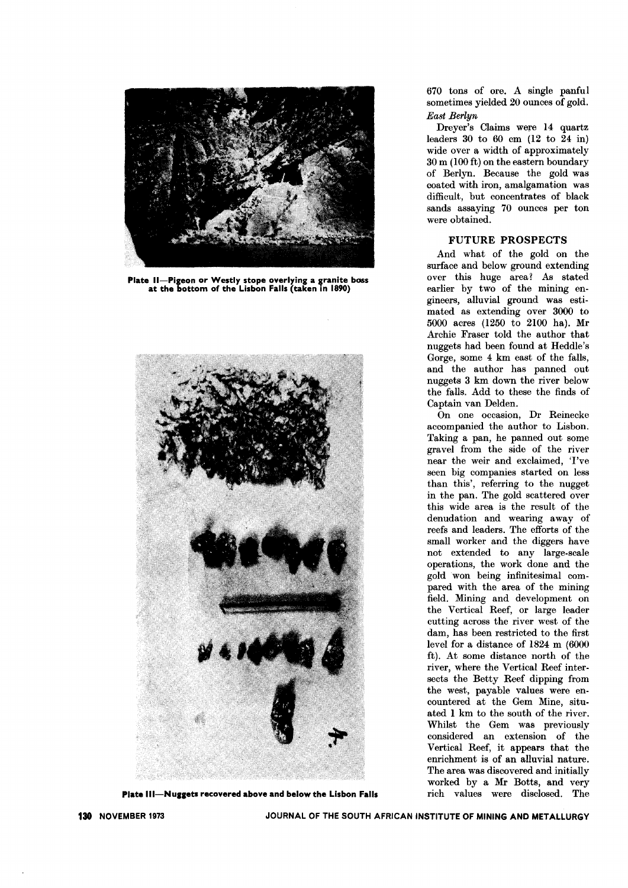

Plate II-Pigeon or Westly stope overlying a granite boss at the bottom of the Lisbon Falls (taken in 1890)



Plate Ill-Nuggets recovered above and below the Lisbon Falls

670 tons of ore. A single panful sometimes yielded 20 ounces of gold. *East Berlyn*

Dreyer's Claims were 14 quartz leaders 30 to 60 cm (12 to 24 in) wide over a width of approximately 30 m (100 ft) on the eastern boundary of Berlyn. Because the gold was coated with iron, amalgamation was difficult, but concentrates of black sands assaying 70 ounces per ton were obtained.

## FUTURE PROSPECTS

And what of the gold on the surface and below ground extending over this huge area? As stated earlier by two of the mining engineers, alluvial ground was estimated as extending over 3000 to 5000 acres (1250 to 2100 ha). Mr Archie Fraser told the author that nuggets had been found at Heddle's Gorge, some 4 km east of the falls, and the author has panned out nuggets 3 km down the river below the falls. Add to these the finds of Captain van Delden.

On one occasion, Dr Reinecke accompanied the author to Lisbon. Taking a pan, he panned out some gravel from the side of the river near the weir and exclaimed, 'I've seen big companies started on less than this', referring to the nugget in the pan. The gold scattered over this wide area is the result of the denudation and wearing away of reefs and leaders. The efforts of the small worker and the diggers have not extended to any large-scale operations, the work done and the gold won being infinitesimal compared with the area of the mining field. Mining and development on the Vertical Reef, or large leader cutting across the river west of the dam, has been restricted to the first level for a distance of 1824 m (6000 ft). At some distance north of the river, where the Vertical Reef intersects the Betty Reef dipping from the west, payable values were encountered at the Gem Mine, situated 1 km to the south of the river. Whilst the Gem was previously considered an extension of the Vertical Reef, it appears that the enrichment is of an alluvial nature. The area was discovered and initially worked by a Mr Botts, and very rich values were disclosed. The